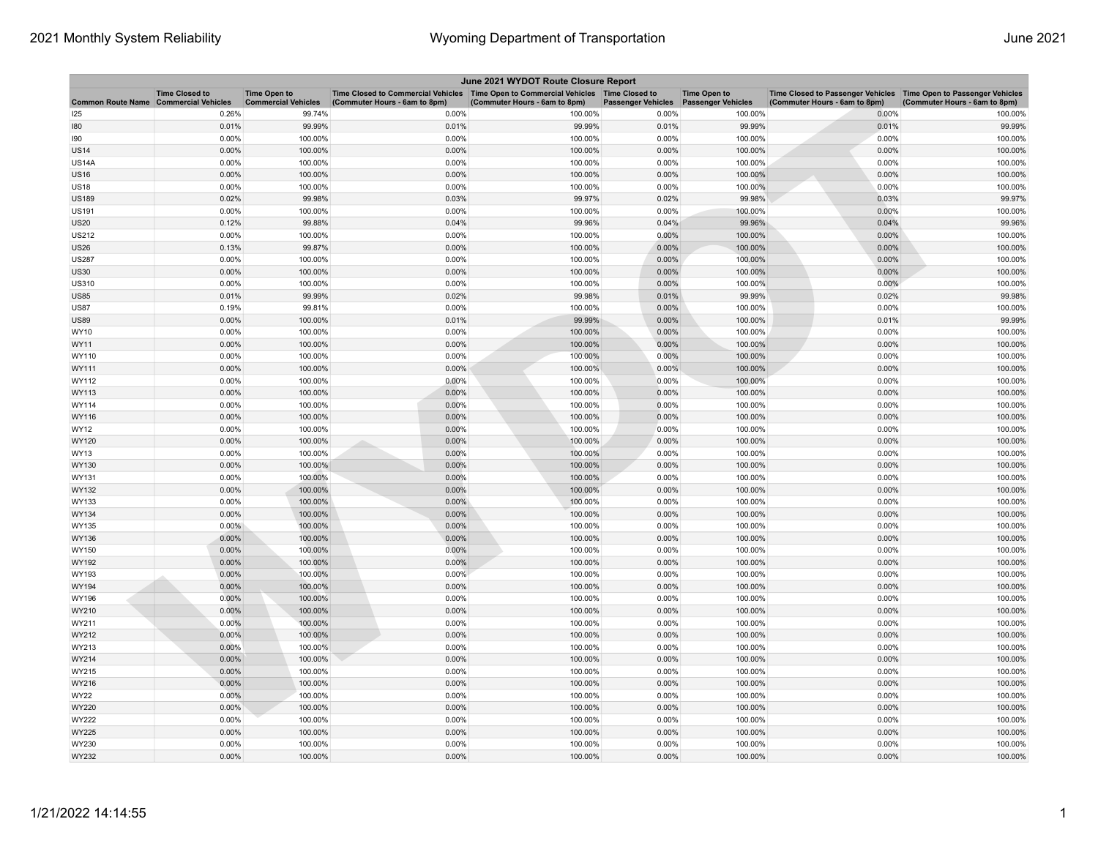| June 2021 WYDOT Route Closure Report |                                                     |                                                   |                                                                                                                         |                               |                           |                                                  |                                                                                                      |                               |  |
|--------------------------------------|-----------------------------------------------------|---------------------------------------------------|-------------------------------------------------------------------------------------------------------------------------|-------------------------------|---------------------------|--------------------------------------------------|------------------------------------------------------------------------------------------------------|-------------------------------|--|
| <b>Common Route Name</b>             | <b>Time Closed to</b><br><b>Commercial Vehicles</b> | <b>Time Open to</b><br><b>Commercial Vehicles</b> | Time Closed to Commercial Vehicles   Time Open to Commercial Vehicles   Time Closed to<br>(Commuter Hours - 6am to 8pm) | (Commuter Hours - 6am to 8pm) | <b>Passenger Vehicles</b> | <b>Time Open to</b><br><b>Passenger Vehicles</b> | Time Closed to Passenger Vehicles   Time Open to Passenger Vehicles<br>(Commuter Hours - 6am to 8pm) | (Commuter Hours - 6am to 8pm) |  |
| 125                                  | 0.26%                                               | 99.74%                                            | 0.00%                                                                                                                   | 100.00%                       | 0.00%                     | 100.00%                                          | 0.00%                                                                                                | 100.00%                       |  |
| 180                                  | 0.01%                                               | 99.99%                                            | 0.01%                                                                                                                   | 99.99%                        | 0.01%                     | 99.99%                                           | 0.01%                                                                                                | 99.99%                        |  |
| 190                                  | 0.00%                                               | 100.00%                                           | 0.00%                                                                                                                   | 100.00%                       | 0.00%                     | 100.00%                                          | 0.00%                                                                                                | 100.00%                       |  |
| <b>JS14</b>                          | 0.00%                                               | 100.00%                                           | 0.00%                                                                                                                   | 100.00%                       | 0.00%                     | 100.00%                                          | 0.00%                                                                                                | 100.00%                       |  |
| <b>US14A</b>                         | 0.00%                                               | 100.00%                                           | 0.00%                                                                                                                   | 100.00%                       | 0.00%                     | 100.00%                                          | 0.00%                                                                                                | 100.00%                       |  |
| <b>JS16</b>                          | 0.00%                                               | 100.00%                                           | 0.00%                                                                                                                   | 100.00%                       | 0.00%                     | 100.00%                                          | 0.00%                                                                                                | 100.00%                       |  |
| US18                                 | 0.00%                                               | 100.00%                                           | 0.00%                                                                                                                   | 100.00%                       | 0.00%                     | 100.00%                                          | 0.00%                                                                                                | 100.00%                       |  |
| US189                                | 0.02%                                               | 99.98%                                            | 0.03%                                                                                                                   | 99.97%                        | 0.02%                     | 99.98%                                           | 0.03%                                                                                                | 99.97%                        |  |
| US191                                | 0.00%                                               | 100.00%                                           | 0.00%                                                                                                                   | 100.00%                       | 0.00%                     | 100.00%                                          | 0.00%                                                                                                | 100.00%                       |  |
| <b>JS20</b>                          | 0.12%                                               | 99.88%                                            | 0.04%                                                                                                                   | 99.96%                        | 0.04%                     | 99.96%                                           | 0.04%                                                                                                | 99.96%                        |  |
| <b>JS212</b>                         | 0.00%                                               | 100.00%                                           | 0.00%                                                                                                                   | 100.00%                       | 0.00%                     | 100.00%                                          | 0.00%                                                                                                | 100.00%                       |  |
| <b>JS26</b>                          | 0.13%                                               | 99.87%                                            | 0.00%                                                                                                                   | 100.00%                       | 0.00%                     | 100.00%                                          | 0.00%                                                                                                | 100.00%                       |  |
| <b>JS287</b>                         | 0.00%                                               | 100.00%                                           | 0.00%                                                                                                                   | 100.00%                       | 0.00%                     | 100.00%                                          | 0.00%                                                                                                | 100.00%                       |  |
| US30                                 | 0.00%                                               | 100.00%                                           | 0.00%                                                                                                                   | 100.00%                       | 0.00%                     | 100.00%                                          | 0.00%                                                                                                | 100.00%                       |  |
| US310                                | 0.00%                                               | 100.00%                                           | 0.00%                                                                                                                   | 100.00%                       | 0.00%                     | 100.00%                                          | 0.00%                                                                                                | 100.00%                       |  |
| <b>JS85</b>                          | 0.01%                                               | 99.99%                                            | 0.02%                                                                                                                   | 99.98%                        | 0.01%                     | 99.99%                                           | 0.02%                                                                                                | 99.98%                        |  |
| <b>JS87</b>                          | 0.19%                                               | 99.81%                                            | 0.00%                                                                                                                   | 100.00%                       | 0.00%                     | 100.00%                                          | 0.00%                                                                                                | 100.00%                       |  |
| US89                                 | 0.00%                                               | 100.00%                                           | 0.01%                                                                                                                   | 99.99%                        | 0.00%                     | 100.00%                                          | 0.01%                                                                                                | 99.99%                        |  |
| WY10                                 | 0.00%                                               | 100.00%                                           | 0.00%                                                                                                                   | 100.00%                       | 0.00%                     | 100.00%                                          | 0.00%                                                                                                | 100.00%                       |  |
| WY11                                 | 0.00%                                               | 100.00%                                           | 0.00%                                                                                                                   | 100.00%                       | 0.00%                     | 100.00%                                          | 0.00%                                                                                                | 100.00%                       |  |
| WY110                                | 0.00%                                               | 100.00%                                           | 0.00%                                                                                                                   | 100.00%                       | 0.00%                     | 100.00%                                          | 0.00%                                                                                                | 100.00%                       |  |
| WY111                                | 0.00%                                               | 100.00%                                           | 0.00%                                                                                                                   | 100.00%                       | $0.00\%$                  | 100.00%                                          | 0.00%                                                                                                | 100.00%                       |  |
| WY112                                | 0.00%                                               | 100.00%                                           | 0.00%                                                                                                                   | 100.00%                       | 0.00%                     | 100.00%                                          | 0.00%                                                                                                | 100.00%                       |  |
| WY113                                | 0.00%                                               | 100.00%                                           | 0.00%                                                                                                                   | 100.00%                       | 0.00%                     | 100.00%                                          | 0.00%                                                                                                | 100.00%                       |  |
| WY114                                | 0.00%                                               | 100.00%                                           | 0.00%                                                                                                                   | 100.00%                       | 0.00%                     | 100.00%                                          | 0.00%                                                                                                | 100.00%                       |  |
| WY116                                | 0.00%                                               | 100.00%                                           | 0.00%                                                                                                                   | 100.00%                       | 0.00%                     | 100.00%                                          | 0.00%                                                                                                | 100.00%                       |  |
| WY12                                 | 0.00%                                               | 100.00%                                           | 0.00%                                                                                                                   | 100.00%                       | 0.00%                     | 100.00%                                          | 0.00%                                                                                                | 100.00%                       |  |
| WY120                                | 0.00%                                               | 100.00%                                           | 0.00%                                                                                                                   | 100.00%                       | 0.00%                     | 100.00%                                          | 0.00%                                                                                                | 100.00%                       |  |
| WY13                                 | 0.00%                                               | 100.00%                                           | 0.00%                                                                                                                   | 100.00%                       | 0.00%                     | 100.00%                                          | 0.00%                                                                                                | 100.00%                       |  |
| WY130                                | 0.00%                                               | 100.00%                                           | 0.00%                                                                                                                   | 100.00%                       | 0.00%                     | 100.00%                                          | 0.00%                                                                                                | 100.00%                       |  |
| WY131                                | 0.00%                                               | 100.00%                                           | 0.00%                                                                                                                   | 100.00%                       | 0.00%                     | 100.00%                                          | 0.00%                                                                                                | 100.00%                       |  |
| WY132                                | 0.00%                                               | 100.00%                                           | 0.00%                                                                                                                   | 100.00%                       | 0.00%                     | 100.00%                                          | 0.00%                                                                                                | 100.00%                       |  |
| WY133                                | 0.00%                                               | 100.00%                                           | 0.00%                                                                                                                   | 100.00%                       | 0.00%                     | 100.00%                                          | 0.00%                                                                                                | 100.00%                       |  |
| WY134                                | 0.00%                                               | 100.00%                                           | 0.00%                                                                                                                   | 100.00%                       | 0.00%                     | 100.00%                                          | 0.00%                                                                                                | 100.00%                       |  |
| WY135                                | $0.00\%$                                            | 100.00%                                           | 0.00%                                                                                                                   | 100.00%                       | 0.00%                     | 100.00%                                          | 0.00%                                                                                                | 100.00%                       |  |
| WY136                                | 0.00%                                               | 100.00%                                           | 0.00%                                                                                                                   | 100.00%                       | 0.00%                     | 100.00%                                          | 0.00%                                                                                                | 100.00%                       |  |
| WY150                                | 0.00%                                               | 100.00%                                           | 0.00%                                                                                                                   | 100.00%                       | 0.00%                     | 100.00%                                          | 0.00%                                                                                                | 100.00%                       |  |
| WY192                                | 0.00%                                               | 100.00%                                           | 0.00%                                                                                                                   | 100.00%                       | 0.00%                     | 100.00%                                          | 0.00%                                                                                                | 100.00%                       |  |
| WY193                                | 0.00%                                               | 100.00%                                           | 0.00%                                                                                                                   | 100.00%                       | 0.00%                     | 100.00%                                          | 0.00%                                                                                                | 100.00%                       |  |
| WY194                                | 0.00%                                               | 100.00%                                           | 0.00%                                                                                                                   | 100.00%                       | 0.00%                     | 100.00%                                          | 0.00%                                                                                                | 100.00%                       |  |
| WY196                                | 0.00%                                               | 100.00%                                           | 0.00%                                                                                                                   | 100.00%                       | 0.00%                     | 100.00%                                          | 0.00%                                                                                                | 100.00%                       |  |
| WY210                                | 0.00%                                               | 100.00%                                           | 0.00%                                                                                                                   | 100.00%                       | 0.00%                     | 100.00%                                          | 0.00%                                                                                                | 100.00%                       |  |
| WY211                                | 0.00%                                               | 100.00%                                           | 0.00%                                                                                                                   | 100.00%                       | 0.00%                     | 100.00%                                          | 0.00%                                                                                                | 100.00%                       |  |
| WY212                                | 0.00%                                               | 100.00%                                           | 0.00%                                                                                                                   | 100.00%                       | 0.00%                     | 100.00%                                          | 0.00%                                                                                                | 100.00%                       |  |
| WY213                                | 0.00%                                               | 100.00%                                           | 0.00%                                                                                                                   | 100.00%                       | 0.00%                     | 100.00%                                          | 0.00%                                                                                                | 100.00%                       |  |
| WY214                                | 0.00%                                               | 100.00%                                           | 0.00%                                                                                                                   | 100.00%                       | $0.00\%$                  | 100.00%                                          | 0.00%                                                                                                | 100.00%                       |  |
| WY215                                | 0.00%                                               | 100.00%                                           | 0.00%                                                                                                                   | 100.00%                       | 0.00%                     | 100.00%                                          | 0.00%                                                                                                | 100.00%                       |  |
| WY216                                | 0.00%                                               | 100.00%                                           | 0.00%                                                                                                                   | 100.00%                       | 0.00%                     | 100.00%                                          | 0.00%                                                                                                | 100.00%                       |  |
| WY22                                 | 0.00%                                               | 100.00%                                           | 0.00%                                                                                                                   | 100.00%                       | 0.00%                     | 100.00%                                          | 0.00%                                                                                                | 100.00%                       |  |
| WY220                                | 0.00%                                               | 100.00%                                           | 0.00%                                                                                                                   | 100.00%                       | 0.00%                     | 100.00%                                          | 0.00%                                                                                                | 100.00%                       |  |
| WY222                                | 0.00%                                               | 100.00%                                           | 0.00%                                                                                                                   | 100.00%                       | 0.00%                     | 100.00%                                          | 0.00%                                                                                                | 100.00%                       |  |
| WY225                                | 0.00%                                               | 100.00%                                           | 0.00%                                                                                                                   | 100.00%                       | 0.00%                     | 100.00%                                          | 0.00%                                                                                                | 100.00%                       |  |
| WY230                                | 0.00%                                               | 100.00%                                           | 0.00%                                                                                                                   | 100.00%                       | 0.00%                     | 100.00%                                          | 0.00%                                                                                                | 100.00%                       |  |
| WY232                                | 0.00%                                               | 100.00%                                           | 0.00%                                                                                                                   | 100.00%                       | 0.00%                     | 100.00%                                          | 0.00%                                                                                                | 100.00%                       |  |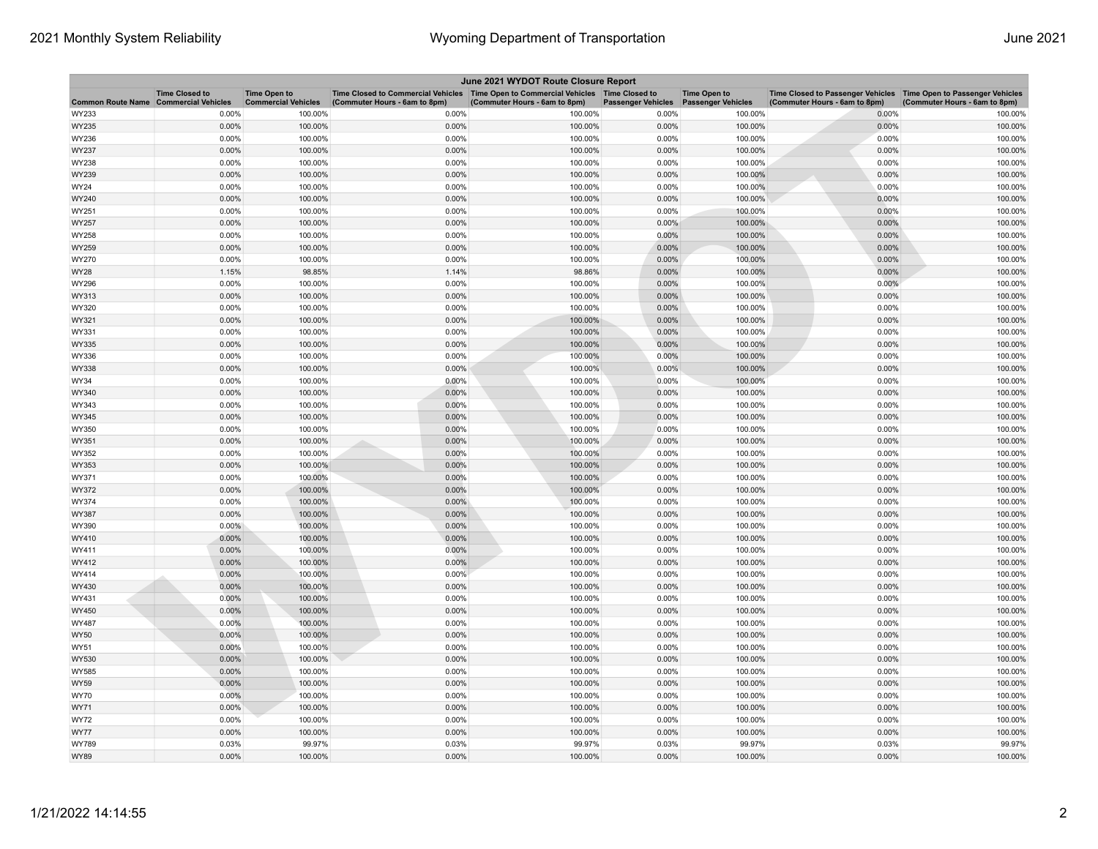| June 2021 WYDOT Route Closure Report |                                                     |                                                   |                                                                                                                         |                               |                           |                                                  |                                                                                                      |                               |  |
|--------------------------------------|-----------------------------------------------------|---------------------------------------------------|-------------------------------------------------------------------------------------------------------------------------|-------------------------------|---------------------------|--------------------------------------------------|------------------------------------------------------------------------------------------------------|-------------------------------|--|
| <b>Common Route Name</b>             | <b>Time Closed to</b><br><b>Commercial Vehicles</b> | <b>Time Open to</b><br><b>Commercial Vehicles</b> | Time Closed to Commercial Vehicles   Time Open to Commercial Vehicles   Time Closed to<br>(Commuter Hours - 6am to 8pm) | (Commuter Hours - 6am to 8pm) | <b>Passenger Vehicles</b> | <b>Time Open to</b><br><b>Passenger Vehicles</b> | Time Closed to Passenger Vehicles   Time Open to Passenger Vehicles<br>(Commuter Hours - 6am to 8pm) | (Commuter Hours - 6am to 8pm) |  |
| WY233                                | 0.00%                                               | 100.00%                                           | 0.00%                                                                                                                   | 100.00%                       | 0.00%                     | 100.00%                                          | 0.00%                                                                                                | 100.00%                       |  |
| WY235                                | 0.00%                                               | 100.00%                                           | 0.00%                                                                                                                   | 100.00%                       | 0.00%                     | 100.00%                                          | 0.00%                                                                                                | 100.00%                       |  |
| WY236                                | 0.00%                                               | 100.00%                                           | 0.00%                                                                                                                   | 100.00%                       | 0.00%                     | 100.00%                                          | 0.00%                                                                                                | 100.00%                       |  |
| WY237                                | 0.00%                                               | 100.00%                                           | 0.00%                                                                                                                   | 100.00%                       | 0.00%                     | 100.00%                                          | 0.00%                                                                                                | 100.00%                       |  |
| WY238                                | 0.00%                                               | 100.00%                                           | 0.00%                                                                                                                   | 100.00%                       | 0.00%                     | 100.00%                                          | 0.00%                                                                                                | 100.00%                       |  |
| WY239                                | 0.00%                                               | 100.00%                                           | 0.00%                                                                                                                   | 100.00%                       | 0.00%                     | 100.00%                                          | 0.00%                                                                                                | 100.00%                       |  |
| WY24                                 | 0.00%                                               | 100.00%                                           | 0.00%                                                                                                                   | 100.00%                       | 0.00%                     | 100.00%                                          | 0.00%                                                                                                | 100.00%                       |  |
| WY240                                | 0.00%                                               | 100.00%                                           | 0.00%                                                                                                                   | 100.00%                       | 0.00%                     | 100.00%                                          | 0.00%                                                                                                | 100.00%                       |  |
| WY251                                | 0.00%                                               | 100.00%                                           | 0.00%                                                                                                                   | 100.00%                       | 0.00%                     | 100.00%                                          | 0.00%                                                                                                | 100.00%                       |  |
| WY257                                | 0.00%                                               | 100.00%                                           | 0.00%                                                                                                                   | 100.00%                       | 0.00%                     | 100.00%                                          | 0.00%                                                                                                | 100.00%                       |  |
| WY258                                | 0.00%                                               | 100.00%                                           | 0.00%                                                                                                                   | 100.00%                       | 0.00%                     | 100.00%                                          | 0.00%                                                                                                | 100.00%                       |  |
| WY259                                | 0.00%                                               | 100.00%                                           | 0.00%                                                                                                                   | 100.00%                       | 0.00%                     | 100.00%                                          | 0.00%                                                                                                | 100.00%                       |  |
| WY270                                | 0.00%                                               | 100.00%                                           | 0.00%                                                                                                                   | 100.00%                       | 0.00%                     | 100.00%                                          | 0.00%                                                                                                | 100.00%                       |  |
| WY28                                 | 1.15%                                               | 98.85%                                            | 1.14%                                                                                                                   | 98.86%                        | 0.00%                     | 100.00%                                          | 0.00%                                                                                                | 100.00%                       |  |
| WY296                                | 0.00%                                               | 100.00%                                           | 0.00%                                                                                                                   | 100.00%                       | 0.00%                     | 100.00%                                          | 0.00%                                                                                                | 100.00%                       |  |
| WY313                                | 0.00%                                               | 100.00%                                           | 0.00%                                                                                                                   | 100.00%                       | 0.00%                     | 100.00%                                          | 0.00%                                                                                                | 100.00%                       |  |
| WY320                                | 0.00%                                               | 100.00%                                           | 0.00%                                                                                                                   | 100.00%                       | 0.00%                     | 100.00%                                          | 0.00%                                                                                                | 100.00%                       |  |
| WY321                                | 0.00%                                               | 100.00%                                           | 0.00%                                                                                                                   | 100.00%                       | 0.00%                     | 100.00%                                          | 0.00%                                                                                                | 100.00%                       |  |
| WY331                                | 0.00%                                               | 100.00%                                           | 0.00%                                                                                                                   | 100.00%                       | 0.00%                     | 100.00%                                          | 0.00%                                                                                                | 100.00%                       |  |
| WY335                                | 0.00%                                               | 100.00%                                           | 0.00%                                                                                                                   | 100.00%                       | 0.00%                     | 100.00%                                          | 0.00%                                                                                                | 100.00%                       |  |
| WY336                                | 0.00%                                               | 100.00%                                           | 0.00%                                                                                                                   | 100.00%                       | 0.00%                     | 100.00%                                          | 0.00%                                                                                                | 100.00%                       |  |
| WY338                                | 0.00%                                               | 100.00%                                           | 0.00%                                                                                                                   | 100.00%                       | $0.00\%$                  | 100.00%                                          | 0.00%                                                                                                | 100.00%                       |  |
| WY34                                 | 0.00%                                               | 100.00%                                           | 0.00%                                                                                                                   | 100.00%                       | 0.00%                     | 100.00%                                          | 0.00%                                                                                                | 100.00%                       |  |
| WY340                                | 0.00%                                               | 100.00%                                           | 0.00%                                                                                                                   | 100.00%                       | 0.00%                     | 100.00%                                          | 0.00%                                                                                                | 100.00%                       |  |
| WY343<br>WY345                       | 0.00%<br>0.00%                                      | 100.00%<br>100.00%                                | 0.00%<br>0.00%                                                                                                          | 100.00%<br>100.00%            | 0.00%<br>0.00%            | 100.00%<br>100.00%                               | 0.00%<br>0.00%                                                                                       | 100.00%<br>100.00%            |  |
| WY350                                | 0.00%                                               | 100.00%                                           | 0.00%                                                                                                                   | 100.00%                       | 0.00%                     | 100.00%                                          | 0.00%                                                                                                | 100.00%                       |  |
| WY351                                | 0.00%                                               | 100.00%                                           | 0.00%                                                                                                                   | 100.00%                       | 0.00%                     | 100.00%                                          | 0.00%                                                                                                | 100.00%                       |  |
| WY352                                | 0.00%                                               | 100.00%                                           | 0.00%                                                                                                                   | 100.00%                       | 0.00%                     | 100.00%                                          | 0.00%                                                                                                | 100.00%                       |  |
| WY353                                | 0.00%                                               | 100.00%                                           | 0.00%                                                                                                                   | 100.00%                       | 0.00%                     | 100.00%                                          | 0.00%                                                                                                | 100.00%                       |  |
| WY371                                | 0.00%                                               | 100.00%                                           | 0.00%                                                                                                                   | 100.00%                       | 0.00%                     | 100.00%                                          | 0.00%                                                                                                | 100.00%                       |  |
| WY372                                | $0.00\%$                                            | 100.00%                                           | 0.00%                                                                                                                   | 100.00%                       | $0.00\%$                  | 100.00%                                          | 0.00%                                                                                                | 100.00%                       |  |
| WY374                                | 0.00%                                               | 100.00%                                           | 0.00%                                                                                                                   | 100.00%                       | 0.00%                     | 100.00%                                          | 0.00%                                                                                                | 100.00%                       |  |
| WY387                                | 0.00%                                               | 100.00%                                           | 0.00%                                                                                                                   | 100.00%                       | 0.00%                     | 100.00%                                          | 0.00%                                                                                                | 100.00%                       |  |
| WY390                                | $0.00\%$                                            | 100.00%                                           | 0.00%                                                                                                                   | 100.00%                       | 0.00%                     | 100.00%                                          | 0.00%                                                                                                | 100.00%                       |  |
| WY410                                | 0.00%                                               | 100.00%                                           | 0.00%                                                                                                                   | 100.00%                       | 0.00%                     | 100.00%                                          | 0.00%                                                                                                | 100.00%                       |  |
| WY411                                | 0.00%                                               | 100.00%                                           | 0.00%                                                                                                                   | 100.00%                       | 0.00%                     | 100.00%                                          | 0.00%                                                                                                | 100.00%                       |  |
| WY412                                | 0.00%                                               | 100.00%                                           | 0.00%                                                                                                                   | 100.00%                       | 0.00%                     | 100.00%                                          | 0.00%                                                                                                | 100.00%                       |  |
| WY414                                | 0.00%                                               | 100.00%                                           | 0.00%                                                                                                                   | 100.00%                       | 0.00%                     | 100.00%                                          | 0.00%                                                                                                | 100.00%                       |  |
| WY430                                | 0.00%                                               | 100.00%                                           | 0.00%                                                                                                                   | 100.00%                       | 0.00%                     | 100.00%                                          | 0.00%                                                                                                | 100.00%                       |  |
| WY431                                | 0.00%                                               | 100.00%                                           | 0.00%                                                                                                                   | 100.00%                       | 0.00%                     | 100.00%                                          | 0.00%                                                                                                | 100.00%                       |  |
| WY450                                | 0.00%                                               | 100.00%                                           | 0.00%                                                                                                                   | 100.00%                       | 0.00%                     | 100.00%                                          | 0.00%                                                                                                | 100.00%                       |  |
| WY487                                | 0.00%                                               | 100.00%                                           | 0.00%                                                                                                                   | 100.00%                       | 0.00%                     | 100.00%                                          | 0.00%                                                                                                | 100.00%                       |  |
| <b>WY50</b>                          | 0.00%                                               | 100.00%                                           | 0.00%                                                                                                                   | 100.00%                       | 0.00%                     | 100.00%                                          | 0.00%                                                                                                | 100.00%                       |  |
| WY51                                 | 0.00%                                               | 100.00%                                           | 0.00%                                                                                                                   | 100.00%                       | 0.00%                     | 100.00%                                          | 0.00%                                                                                                | 100.00%                       |  |
| WY530                                | 0.00%                                               | 100.00%                                           | 0.00%                                                                                                                   | 100.00%                       | 0.00%                     | 100.00%                                          | 0.00%                                                                                                | 100.00%                       |  |
| WY585                                | 0.00%                                               | 100.00%                                           | 0.00%                                                                                                                   | 100.00%                       | 0.00%                     | 100.00%                                          | 0.00%                                                                                                | 100.00%                       |  |
| WY59                                 | 0.00%                                               | 100.00%                                           | 0.00%                                                                                                                   | 100.00%                       | 0.00%                     | 100.00%                                          | 0.00%                                                                                                | 100.00%                       |  |
| <b>WY70</b>                          | 0.00%                                               | 100.00%                                           | 0.00%                                                                                                                   | 100.00%                       | 0.00%                     | 100.00%                                          | 0.00%                                                                                                | 100.00%                       |  |
| WY71                                 | 0.00%                                               | 100.00%                                           | 0.00%                                                                                                                   | 100.00%                       | 0.00%                     | 100.00%                                          | 0.00%                                                                                                | 100.00%                       |  |
| WY72                                 | 0.00%                                               | 100.00%                                           | 0.00%                                                                                                                   | 100.00%                       | 0.00%                     | 100.00%                                          | 0.00%                                                                                                | 100.00%                       |  |
| <b>WY77</b>                          | 0.00%                                               | 100.00%                                           | 0.00%                                                                                                                   | 100.00%                       | 0.00%                     | 100.00%                                          | 0.00%                                                                                                | 100.00%                       |  |
| WY789                                | 0.03%                                               | 99.97%                                            | 0.03%                                                                                                                   | 99.97%                        | 0.03%                     | 99.97%                                           | 0.03%                                                                                                | 99.97%                        |  |
| <b>WY89</b>                          | 0.00%                                               | 100.00%                                           | 0.00%                                                                                                                   | 100.00%                       | 0.00%                     | 100.00%                                          | 0.00%                                                                                                | 100.00%                       |  |